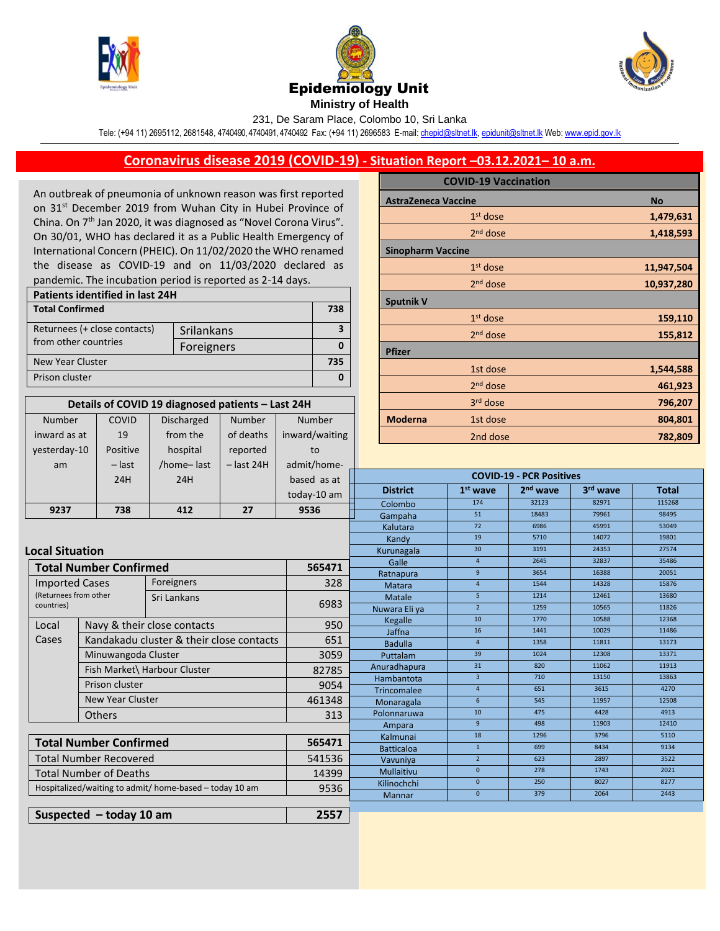

Number inward as at COVID 19





231, De Saram Place, Colombo 10, Sri Lanka

Tele: (+94 11) 2695112, 2681548, 4740490, 4740491, 4740492 Fax: (+94 11) 2696583 E-mail[: chepid@sltnet.lk,](mailto:chepi@sltnet.lk) [epidunit@sltnet.lk](mailto:epidunit@sltnet.lk) Web[: www.epid.gov.lk](http://www.epid.gov.lk/)

## **Coronavirus disease 2019 (COVID-19) - Situation Report –03.12.2021– 10 a.m.**

An outbreak of pneumonia of unknown reason was first reported on 31<sup>st</sup> December 2019 from Wuhan City in Hubei Province of China. On 7<sup>th</sup> Jan 2020, it was diagnosed as "Novel Corona Virus". On 30/01, WHO has declared it as a Public Health Emergency of International Concern (PHEIC). On 11/02/2020 the WHO renamed the disease as COVID-19 and on 11/03/2020 declared as pandemic. The incubation period is reported as 2-14 days.

| Patients identified in last 24H |            |     |  |  |
|---------------------------------|------------|-----|--|--|
| <b>Total Confirmed</b>          |            | 738 |  |  |
| Returnees (+ close contacts)    | Srilankans |     |  |  |
| from other countries            | Foreigners |     |  |  |
| New Year Cluster                |            |     |  |  |
| Prison cluster                  |            |     |  |  |

**Details of COVID 19 diagnosed patients – Last 24H**

Number of deaths

Number inward/waiting

Discharged from the

|                            | <b>COVID-19 Vaccination</b> |            |
|----------------------------|-----------------------------|------------|
| <b>AstraZeneca Vaccine</b> | <b>No</b>                   |            |
|                            | $1st$ dose                  | 1,479,631  |
|                            | 2 <sup>nd</sup> dose        | 1,418,593  |
| <b>Sinopharm Vaccine</b>   |                             |            |
|                            | $1st$ dose                  | 11,947,504 |
|                            | $2nd$ dose                  | 10,937,280 |
| <b>Sputnik V</b>           |                             |            |
|                            | $1st$ dose                  | 159,110    |
|                            | 2 <sup>nd</sup> dose        | 155,812    |
| <b>Pfizer</b>              |                             |            |
|                            | 1st dose                    | 1,544,588  |
|                            | $2nd$ dose                  | 461,923    |
|                            | 3 <sup>rd</sup> dose        | 796,207    |
| <b>Moderna</b>             | 1st dose                    | 804,801    |
|                            | 2nd dose                    | 782,809    |

| yesterday-10                                            | Positive                                                              | hospital                                 | reported          | to             |                                 |                   |                      |                      |              |      |
|---------------------------------------------------------|-----------------------------------------------------------------------|------------------------------------------|-------------------|----------------|---------------------------------|-------------------|----------------------|----------------------|--------------|------|
| am                                                      | $-$ last                                                              | /home-last                               | $-$ last 24H      | admit/home-    | <b>COVID-19 - PCR Positives</b> |                   |                      |                      |              |      |
|                                                         | 24H                                                                   | 24H                                      |                   | based as at    |                                 |                   |                      |                      |              |      |
|                                                         |                                                                       |                                          |                   | today-10 am    | <b>District</b>                 | $1st$ wave        | 2 <sup>nd</sup> wave | 3 <sup>rd</sup> wave | <b>Total</b> |      |
|                                                         |                                                                       |                                          |                   |                | Colombo                         | 174               | 32123                | 82971                | 115268       |      |
| 9237                                                    | 738                                                                   | 412                                      | 27                | 9536           | Gampaha                         | 51                | 18483                | 79961                | 98495        |      |
|                                                         |                                                                       |                                          |                   |                | Kalutara                        | $\overline{72}$   | 6986                 | 45991                | 53049        |      |
|                                                         |                                                                       |                                          |                   |                | Kandy                           | 19                | 5710                 | 14072                | 19801        |      |
| <b>Local Situation</b>                                  |                                                                       |                                          |                   |                | Kurunagala                      | 30                | 3191                 | 24353                | 27574        |      |
|                                                         |                                                                       |                                          |                   | 565471         | Galle                           | $\overline{4}$    | 2645                 | 32837                | 35486        |      |
|                                                         | <b>Total Number Confirmed</b>                                         |                                          |                   |                | Ratnapura                       | 9                 | 3654                 | 16388                | 20051        |      |
| <b>Imported Cases</b>                                   |                                                                       | Foreigners                               |                   | 328            | Matara                          | $\overline{4}$    | 1544                 | 14328                | 15876        |      |
| (Returnees from other<br>countries)                     |                                                                       | Sri Lankans                              |                   | 6983           | Matale                          | 5 <sup>1</sup>    | 1214                 | 12461                | 13680        |      |
|                                                         |                                                                       |                                          |                   |                | Nuwara Eliya                    | 2 <sup>1</sup>    | 1259                 | 10565                | 11826        |      |
| Local                                                   |                                                                       | Navy & their close contacts              |                   | 950            | Kegalle                         | 10                | 1770                 | 10588                | 12368        |      |
| Cases                                                   |                                                                       | Kandakadu cluster & their close contacts |                   | 651            | Jaffna                          | 16                | 1441                 | 10029                | 11486        |      |
|                                                         | Minuwangoda Cluster<br>Fish Market\ Harbour Cluster<br>Prison cluster |                                          |                   | <b>Badulla</b> | $\overline{4}$                  | 1358              | 11811                | 13173                |              |      |
|                                                         |                                                                       |                                          | 3059              | Puttalam       | 39<br>31                        | 1024<br>820       | 12308<br>11062       | 13371<br>11913       |              |      |
|                                                         |                                                                       |                                          | 82785             | Anuradhapura   | 3 <sup>1</sup>                  | 710               | 13150                | 13863                |              |      |
|                                                         |                                                                       |                                          | 9054              | Hambantota     | $\overline{4}$                  | 651               | 3615                 | 4270                 |              |      |
|                                                         | New Year Cluster                                                      |                                          |                   | 461348         | Trincomalee                     | 6                 | 545                  | 11957                | 12508        |      |
|                                                         |                                                                       |                                          |                   |                | Monaragala<br>Polonnaruwa       | 10                | 475                  | 4428                 | 4913         |      |
|                                                         | <b>Others</b>                                                         |                                          | 313               | Ampara         | 9 <sup>°</sup>                  | 498               | 11903                | 12410                |              |      |
|                                                         |                                                                       |                                          |                   |                | Kalmunai                        | 18                | 1296                 | 3796                 | 5110         |      |
| <b>Total Number Confirmed</b>                           |                                                                       | 565471                                   | <b>Batticaloa</b> | $\mathbf{1}$   | 699                             | 8434              | 9134                 |                      |              |      |
| <b>Total Number Recovered</b>                           |                                                                       |                                          |                   | 541536         | Vavuniya                        | 2 <sup>1</sup>    | 623                  | 2897                 | 3522         |      |
|                                                         | <b>Total Number of Deaths</b>                                         |                                          |                   |                | 14399                           | <b>Mullaitivu</b> | $\mathbf{0}$         | 278                  | 1743         | 2021 |
|                                                         |                                                                       | 9536                                     | Kilinochchi       | $\pmb{0}$      | 250                             | 8027              | 8277                 |                      |              |      |
| Hospitalized/waiting to admit/ home-based - today 10 am |                                                                       |                                          | Mannar            | $\mathbf{0}$   | 379                             | 2064              | 2443                 |                      |              |      |
|                                                         |                                                                       |                                          |                   |                |                                 |                   |                      |                      |              |      |
| 2557<br>Suspected $-$ today 10 am                       |                                                                       |                                          |                   |                |                                 |                   |                      |                      |              |      |